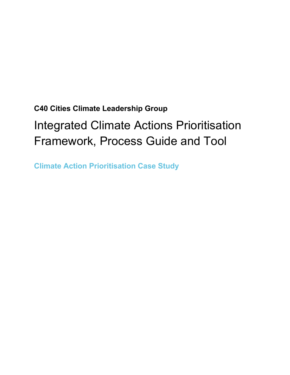# **C40 Cities Climate Leadership Group** Integrated Climate Actions Prioritisation Framework, Process Guide and Tool

**Climate Action Prioritisation Case Study**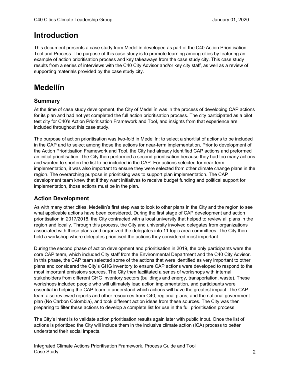### **Introduction**

This document presents a case study from Medellín developed as part of the C40 Action Prioritisation Tool and Process. The purpose of this case study is to promote learning among cities by featuring an example of action prioritisation process and key takeaways from the case study city. This case study results from a series of interviews with the C40 City Advisor and/or key city staff, as well as a review of supporting materials provided by the case study city.

## **Medellín**

#### **Summary**

At the time of case study development, the City of Medellín was in the process of developing CAP actions for its plan and had not yet completed the full action prioritisation process. The city participated as a pilot test city for C40's Action Prioritisation Framework and Tool, and insights from that experience are included throughout this case study.

The purpose of action prioritisation was two-fold in Medellín: to select a shortlist of actions to be included in the CAP and to select among those the actions for near-term implementation. Prior to development of the Action Prioritisation Framework and Tool, the City had already identified CAP actions and preformed an initial prioritisation. The City then performed a second prioritisation because they had too many actions and wanted to shorten the list to be included in the CAP. For actions selected for near-term implementation, it was also important to ensure they were selected from other climate change plans in the region. The overarching purpose in prioritising was to support plan implementation. The CAP development team knew that if they want initiatives to receive budget funding and political support for implementation, those actions must be in the plan.

#### **Action Development**

As with many other cities, Medellín's first step was to look to other plans in the City and the region to see what applicable actions have been considered. During the first stage of CAP development and action prioritisation in 2017/2018, the City contracted with a local university that helped to review all plans in the region and locally. Through this process, the City and university involved delegates from organizations associated with these plans and organized the delegates into 11 topic area committees. The City then held a workshop where delegates prioritised the actions they considered most important.

During the second phase of action development and prioritisation in 2019, the only participants were the core CAP team, which included City staff from the Environmental Department and the C40 City Advisor. In this phase, the CAP team selected some of the actions that were identified as very important to other plans and considered the City's GHG inventory to ensure CAP actions were developed to respond to the most important emissions sources. The City then facilitated a series of workshops with internal stakeholders from different GHG inventory sectors (buildings and energy, transportation, waste). These workshops included people who will ultimately lead action implementation, and participants were essential in helping the CAP team to understand which actions will have the greatest impact. The CAP team also reviewed reports and other resources from C40, regional plans, and the national government plan (No Carbon Colombia), and took different action ideas from these sources. The City was then preparing to filter these actions to develop a complete list for use in the full prioritisation process.

The City's intent is to validate action prioritisation results again later with public input. Once the list of actions is prioritized the City will include them in the inclusive climate action (ICA) process to better understand their social impacts.